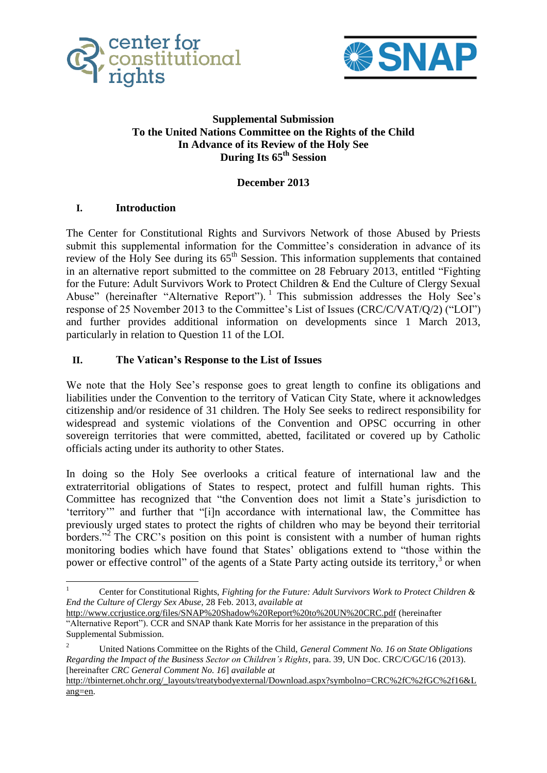



### **Supplemental Submission To the United Nations Committee on the Rights of the Child In Advance of its Review of the Holy See During Its 65th Session**

### **December 2013**

### **I. Introduction**

The Center for Constitutional Rights and Survivors Network of those Abused by Priests submit this supplemental information for the Committee's consideration in advance of its review of the Holy See during its  $65<sup>th</sup>$  Session. This information supplements that contained in an alternative report submitted to the committee on 28 February 2013, entitled "Fighting for the Future: Adult Survivors Work to Protect Children & End the Culture of Clergy Sexual Abuse" (hereinafter "Alternative Report").<sup>1</sup> This submission addresses the Holy See's response of 25 November 2013 to the Committee's List of Issues (CRC/C/VAT/Q/2) ("LOI") and further provides additional information on developments since 1 March 2013, particularly in relation to Question 11 of the LOI.

### **II. The Vatican's Response to the List of Issues**

We note that the Holy See's response goes to great length to confine its obligations and liabilities under the Convention to the territory of Vatican City State, where it acknowledges citizenship and/or residence of 31 children. The Holy See seeks to redirect responsibility for widespread and systemic violations of the Convention and OPSC occurring in other sovereign territories that were committed, abetted, facilitated or covered up by Catholic officials acting under its authority to other States.

In doing so the Holy See overlooks a critical feature of international law and the extraterritorial obligations of States to respect, protect and fulfill human rights. This Committee has recognized that "the Convention does not limit a State's jurisdiction to 'territory'" and further that "[i]n accordance with international law, the Committee has previously urged states to protect the rights of children who may be beyond their territorial borders."<sup>2</sup> The CRC's position on this point is consistent with a number of human rights monitoring bodies which have found that States' obligations extend to "those within the power or effective control" of the agents of a State Party acting outside its territory,<sup>3</sup> or when

 $\frac{1}{1}$  Center for Constitutional Rights, *Fighting for the Future: Adult Survivors Work to Protect Children & End the Culture of Clergy Sex Abuse,* 28 Feb. 2013, *available at*

<http://www.ccrjustice.org/files/SNAP%20Shadow%20Report%20to%20UN%20CRC.pdf> (hereinafter "Alternative Report"). CCR and SNAP thank Kate Morris for her assistance in the preparation of this Supplemental Submission.

<sup>2</sup> United Nations Committee on the Rights of the Child, *General Comment No. 16 on State Obligations Regarding the Impact of the Business Sector on Children's Rights*, para. 39, UN Doc. CRC/C/GC/16 (2013). [hereinafter *CRC General Comment No. 16*] *available at*

[http://tbinternet.ohchr.org/\\_layouts/treatybodyexternal/Download.aspx?symbolno=CRC%2fC%2fGC%2f16&L](http://tbinternet.ohchr.org/_layouts/treatybodyexternal/Download.aspx?symbolno=CRC%2fC%2fGC%2f16&Lang=en) [ang=en.](http://tbinternet.ohchr.org/_layouts/treatybodyexternal/Download.aspx?symbolno=CRC%2fC%2fGC%2f16&Lang=en)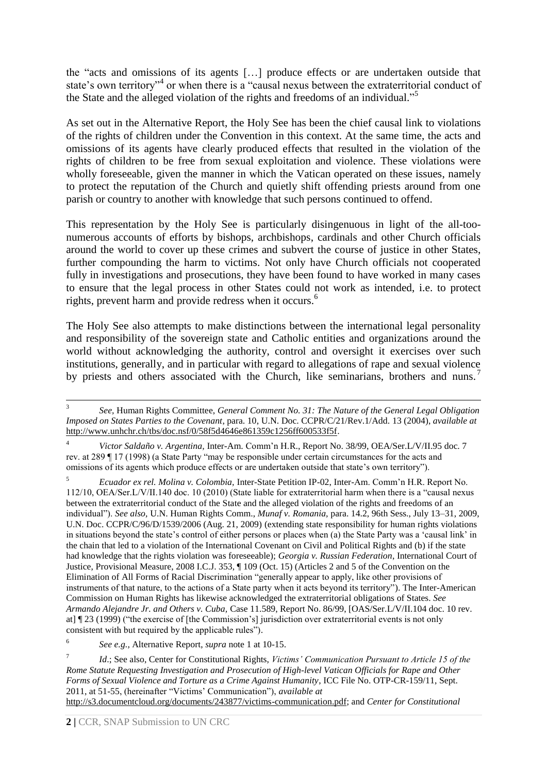the "acts and omissions of its agents […] produce effects or are undertaken outside that state's own territory<sup>34</sup> or when there is a "causal nexus between the extraterritorial conduct of the State and the alleged violation of the rights and freedoms of an individual." 5

As set out in the Alternative Report, the Holy See has been the chief causal link to violations of the rights of children under the Convention in this context. At the same time, the acts and omissions of its agents have clearly produced effects that resulted in the violation of the rights of children to be free from sexual exploitation and violence. These violations were wholly foreseeable, given the manner in which the Vatican operated on these issues, namely to protect the reputation of the Church and quietly shift offending priests around from one parish or country to another with knowledge that such persons continued to offend.

This representation by the Holy See is particularly disingenuous in light of the all-toonumerous accounts of efforts by bishops, archbishops, cardinals and other Church officials around the world to cover up these crimes and subvert the course of justice in other States, further compounding the harm to victims. Not only have Church officials not cooperated fully in investigations and prosecutions, they have been found to have worked in many cases to ensure that the legal process in other States could not work as intended, i.e. to protect rights, prevent harm and provide redress when it occurs.<sup>6</sup>

The Holy See also attempts to make distinctions between the international legal personality and responsibility of the sovereign state and Catholic entities and organizations around the world without acknowledging the authority, control and oversight it exercises over such institutions, generally, and in particular with regard to allegations of rape and sexual violence by priests and others associated with the Church, like seminarians, brothers and nuns.<sup>7</sup>

<sup>4</sup> *Victor Saldaño v. Argentina,* Inter-Am. Comm'n H.R., Report No. 38/99, OEA/Ser.L/V/II.95 doc. 7 rev. at 289 ¶ 17 (1998) (a State Party "may be responsible under certain circumstances for the acts and omissions of its agents which produce effects or are undertaken outside that state's own territory").

<sup>5</sup> *Ecuador ex rel. Molina v. Colombia,* Inter-State Petition IP-02, Inter-Am. Comm'n H.R. Report No. 112/10, OEA/Ser.L/V/II.140 doc. 10 (2010) (State liable for extraterritorial harm when there is a "causal nexus between the extraterritorial conduct of the State and the alleged violation of the rights and freedoms of an individual"). *See also,* U.N. Human Rights Comm., *Munaf v. Romania,* para. 14.2, 96th Sess., July 13–31, 2009, U.N. Doc. CCPR/C/96/D/1539/2006 (Aug. 21, 2009) (extending state responsibility for human rights violations in situations beyond the state's control of either persons or places when (a) the State Party was a 'causal link' in the chain that led to a violation of the International Covenant on Civil and Political Rights and (b) if the state had knowledge that the rights violation was foreseeable); *Georgia v. Russian Federation*, International Court of Justice, Provisional Measure, 2008 I.C.J. 353, ¶ 109 (Oct. 15) (Articles 2 and 5 of the Convention on the Elimination of All Forms of Racial Discrimination "generally appear to apply, like other provisions of instruments of that nature, to the actions of a State party when it acts beyond its territory"). The Inter-American Commission on Human Rights has likewise acknowledged the extraterritorial obligations of States. *See Armando Alejandre Jr. and Others v. Cuba,* Case 11.589, Report No. 86/99, [OAS/Ser.L/V/II.104 doc. 10 rev. at] ¶ 23 (1999) ("the exercise of [the Commission's] jurisdiction over extraterritorial events is not only consistent with but required by the applicable rules").

6 *See e.g.,* Alternative Report, *supra* note 1 at 10-15.

[http://s3.documentcloud.org/documents/243877/victims-communication.pdf;](http://s3.documentcloud.org/documents/243877/victims-communication.pdf) and *Center for Constitutional* 

<sup>1</sup> 3 *See,* Human Rights Committee, *General Comment No. 31: The Nature of the General Legal Obligation Imposed on States Parties to the Covenant*, para. 10, U.N. Doc. CCPR/C/21/Rev.1/Add. 13 (2004), *available at* [http://www.unhchr.ch/tbs/doc.nsf/0/58f5d4646e861359c1256ff600533f5f.](http://www.unhchr.ch/tbs/doc.nsf/0/58f5d4646e861359c1256ff600533f5f)

<sup>7</sup> *Id*.; See also, Center for Constitutional Rights, *Victims' Communication Pursuant to Article 15 of the Rome Statute Requesting Investigation and Prosecution of High-level Vatican Officials for Rape and Other Forms of Sexual Violence and Torture as a Crime Against Humanity*, ICC File No. OTP-CR-159/11, Sept. 2011, at 51-55, (hereinafter "Victims' Communication"), *available at*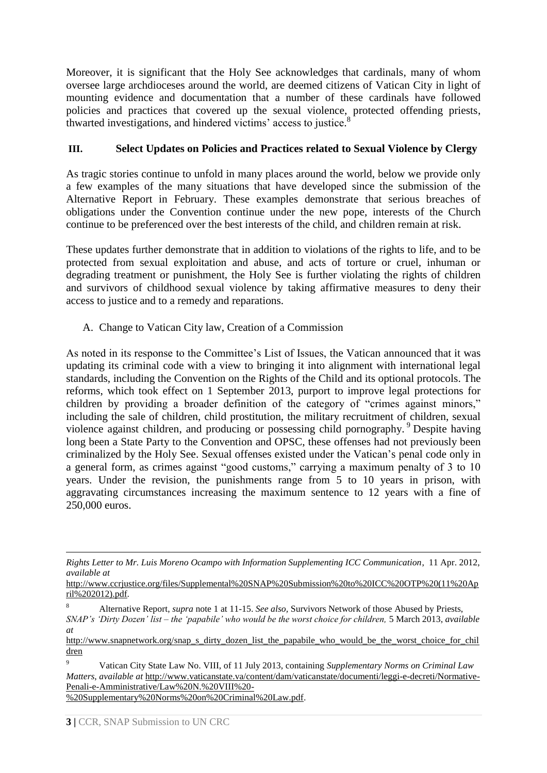Moreover, it is significant that the Holy See acknowledges that cardinals, many of whom oversee large archdioceses around the world, are deemed citizens of Vatican City in light of mounting evidence and documentation that a number of these cardinals have followed policies and practices that covered up the sexual violence, protected offending priests, thwarted investigations, and hindered victims' access to justice.<sup>8</sup>

## **III. Select Updates on Policies and Practices related to Sexual Violence by Clergy**

As tragic stories continue to unfold in many places around the world, below we provide only a few examples of the many situations that have developed since the submission of the Alternative Report in February. These examples demonstrate that serious breaches of obligations under the Convention continue under the new pope, interests of the Church continue to be preferenced over the best interests of the child, and children remain at risk.

These updates further demonstrate that in addition to violations of the rights to life, and to be protected from sexual exploitation and abuse, and acts of torture or cruel, inhuman or degrading treatment or punishment, the Holy See is further violating the rights of children and survivors of childhood sexual violence by taking affirmative measures to deny their access to justice and to a remedy and reparations.

A. Change to Vatican City law, Creation of a Commission

As noted in its response to the Committee's List of Issues, the Vatican announced that it was updating its criminal code with a view to bringing it into alignment with international legal standards, including the Convention on the Rights of the Child and its optional protocols. The reforms, which took effect on 1 September 2013, purport to improve legal protections for children by providing a broader definition of the category of "crimes against minors," including the sale of children, child prostitution, the military recruitment of children, sexual violence against children, and producing or possessing child pornography. <sup>9</sup> Despite having long been a State Party to the Convention and OPSC, these offenses had not previously been criminalized by the Holy See. Sexual offenses existed under the Vatican's penal code only in a general form, as crimes against "good customs," carrying a maximum penalty of 3 to 10 years. Under the revision, the punishments range from 5 to 10 years in prison, with aggravating circumstances increasing the maximum sentence to 12 years with a fine of 250,000 euros.

<sup>9</sup> Vatican City State Law No. VIII, of 11 July 2013, containing *Supplementary Norms on Criminal Law Matters*, *available at* [http://www.vaticanstate.va/content/dam/vaticanstate/documenti/leggi-e-decreti/Normative-](http://www.vaticanstate.va/content/dam/vaticanstate/documenti/leggi-e-decreti/Normative-Penali-e-Amministrative/Law%20N.%20VIII%20-%20Supplementary%20Norms%20on%20Criminal%20Law.pdf)[Penali-e-Amministrative/Law%20N.%20VIII%20-](http://www.vaticanstate.va/content/dam/vaticanstate/documenti/leggi-e-decreti/Normative-Penali-e-Amministrative/Law%20N.%20VIII%20-%20Supplementary%20Norms%20on%20Criminal%20Law.pdf)

[%20Supplementary%20Norms%20on%20Criminal%20Law.pdf.](http://www.vaticanstate.va/content/dam/vaticanstate/documenti/leggi-e-decreti/Normative-Penali-e-Amministrative/Law%20N.%20VIII%20-%20Supplementary%20Norms%20on%20Criminal%20Law.pdf)

**<sup>.</sup>** *Rights Letter to Mr. Luis Moreno Ocampo with Information Supplementing ICC Communication*, 11 Apr. 2012, *available at*

[http://www.ccrjustice.org/files/Supplemental%20SNAP%20Submission%20to%20ICC%20OTP%20\(11%20Ap](http://www.ccrjustice.org/files/Supplemental%20SNAP%20Submission%20to%20ICC%20OTP%20(11%20April%202012).pdf) [ril%202012\).pdf.](http://www.ccrjustice.org/files/Supplemental%20SNAP%20Submission%20to%20ICC%20OTP%20(11%20April%202012).pdf) 

<sup>8</sup> Alternative Report, *supra* note 1 at 11-15. *See also,* Survivors Network of those Abused by Priests, *SNAP's 'Dirty Dozen' list – the 'papabile' who would be the worst choice for children,* 5 March 2013, *available at*

[http://www.snapnetwork.org/snap\\_s\\_dirty\\_dozen\\_list\\_the\\_papabile\\_who\\_would\\_be\\_the\\_worst\\_choice\\_for\\_chil](http://www.snapnetwork.org/snap_s_dirty_dozen_list_the_papabile_who_would_be_the_worst_choice_for_children) [dren](http://www.snapnetwork.org/snap_s_dirty_dozen_list_the_papabile_who_would_be_the_worst_choice_for_children)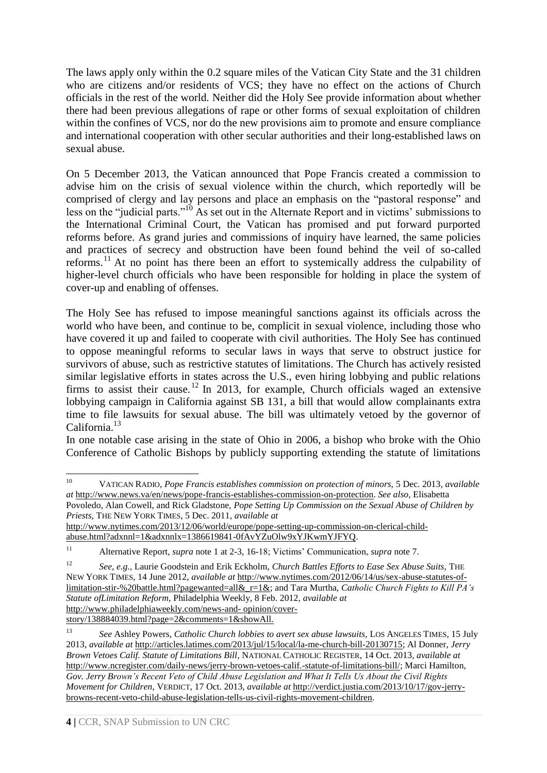The laws apply only within the 0.2 square miles of the Vatican City State and the 31 children who are citizens and/or residents of VCS; they have no effect on the actions of Church officials in the rest of the world. Neither did the Holy See provide information about whether there had been previous allegations of rape or other forms of sexual exploitation of children within the confines of VCS, nor do the new provisions aim to promote and ensure compliance and international cooperation with other secular authorities and their long-established laws on sexual abuse.

On 5 December 2013, the Vatican announced that Pope Francis created a commission to advise him on the crisis of sexual violence within the church, which reportedly will be comprised of clergy and lay persons and place an emphasis on the "pastoral response" and less on the "judicial parts."<sup>10</sup> As set out in the Alternate Report and in victims' submissions to the International Criminal Court, the Vatican has promised and put forward purported reforms before. As grand juries and commissions of inquiry have learned, the same policies and practices of secrecy and obstruction have been found behind the veil of so-called reforms.<sup>11</sup> At no point has there been an effort to systemically address the culpability of higher-level church officials who have been responsible for holding in place the system of cover-up and enabling of offenses.

The Holy See has refused to impose meaningful sanctions against its officials across the world who have been, and continue to be, complicit in sexual violence, including those who have covered it up and failed to cooperate with civil authorities. The Holy See has continued to oppose meaningful reforms to secular laws in ways that serve to obstruct justice for survivors of abuse, such as restrictive statutes of limitations. The Church has actively resisted similar legislative efforts in states across the U.S., even hiring lobbying and public relations firms to assist their cause.<sup>12</sup> In 2013, for example, Church officials waged an extensive lobbying campaign in California against SB 131, a bill that would allow complainants extra time to file lawsuits for sexual abuse. The bill was ultimately vetoed by the governor of California.<sup>13</sup>

In one notable case arising in the state of Ohio in 2006, a bishop who broke with the Ohio Conference of Catholic Bishops by publicly supporting extending the statute of limitations

<sup>10</sup> <sup>10</sup> VATICAN RADIO, *Pope Francis establishes commission on protection of minors,* 5 Dec. 2013, *available at* [http://www.news.va/en/news/pope-francis-establishes-commission-on-protection.](http://www.news.va/en/news/pope-francis-establishes-commission-on-protection) *See also,* Elisabetta

Povoledo, Alan Cowell, and Rick Gladstone, *Pope Setting Up Commission on the Sexual Abuse of Children by Priests,* THE NEW YORK TIMES, 5 Dec. 2011, *available at*

[http://www.nytimes.com/2013/12/06/world/europe/pope-setting-up-commission-on-clerical-child](http://www.nytimes.com/2013/12/06/world/europe/pope-setting-up-commission-on-clerical-child-abuse.html?adxnnl=1&adxnnlx=1386619841-0fAvYZuOlw9xYJKwmYJFYQ)[abuse.html?adxnnl=1&adxnnlx=1386619841-0fAvYZuOlw9xYJKwmYJFYQ.](http://www.nytimes.com/2013/12/06/world/europe/pope-setting-up-commission-on-clerical-child-abuse.html?adxnnl=1&adxnnlx=1386619841-0fAvYZuOlw9xYJKwmYJFYQ) 

<sup>11</sup> Alternative Report, *supra* note 1 at 2-3, 16-18; Victims' Communication, *supra* note 7.

<sup>12</sup> *See, e.g.,* Laurie Goodstein and Erik Eckholm, *Church Battles Efforts to Ease Sex Abuse Suits,* THE NEW YORK TIMES, 14 June 2012, *available at* [http://www.nytimes.com/2012/06/14/us/sex-abuse-statutes-of](http://www.nytimes.com/2012/06/14/us/sex-abuse-statutes-of-limitation-stir-%20battle.html?pagewanted=all&_r=1&)[limitation-stir-%20battle.html?pagewanted=all&\\_r=1&;](http://www.nytimes.com/2012/06/14/us/sex-abuse-statutes-of-limitation-stir-%20battle.html?pagewanted=all&_r=1&) and Tara Murtha, *Catholic Church Fights to Kill PA's Statute ofLimitation Reform,* Philadelphia Weekly, 8 Feb. 2012, *available at* [http://www.philadelphiaweekly.com/news-and-](http://www.philadelphiaweekly.com/news-and-%20opinion/cover-story/138884039.html?page=2&comments=1&showAll.) opinion/cover[story/138884039.html?page=2&comments=1&showAll.](http://www.philadelphiaweekly.com/news-and-%20opinion/cover-story/138884039.html?page=2&comments=1&showAll.)

<sup>13</sup> *See* Ashley Powers, *Catholic Church lobbies to avert sex abuse lawsuits*, LOS ANGELES TIMES, 15 July 2013, *available at* [http://articles.latimes.com/2013/jul/15/local/la-me-church-bill-20130715;](http://articles.latimes.com/2013/jul/15/local/la-me-church-bill-20130715) Al Donner, *Jerry Brown Vetoes Calif. Statute of Limitations Bill*, NATIONAL CATHOLIC REGISTER, 14 Oct. 2013, *available at* [http://www.ncregister.com/daily-news/jerry-brown-vetoes-calif.-statute-of-limitations-bill/;](http://www.ncregister.com/daily-news/jerry-brown-vetoes-calif.-statute-of-limitations-bill/) Marci Hamilton, *Gov. Jerry Brown's Recent Veto of Child Abuse Legislation and What It Tells Us About the Civil Rights Movement for Children,* VERDICT, 17 Oct. 2013, *available at* [http://verdict.justia.com/2013/10/17/gov-jerry](http://verdict.justia.com/2013/10/17/gov-jerry-browns-recent-veto-child-abuse-legislation-tells-us-civil-rights-movement-children)[browns-recent-veto-child-abuse-legislation-tells-us-civil-rights-movement-children.](http://verdict.justia.com/2013/10/17/gov-jerry-browns-recent-veto-child-abuse-legislation-tells-us-civil-rights-movement-children)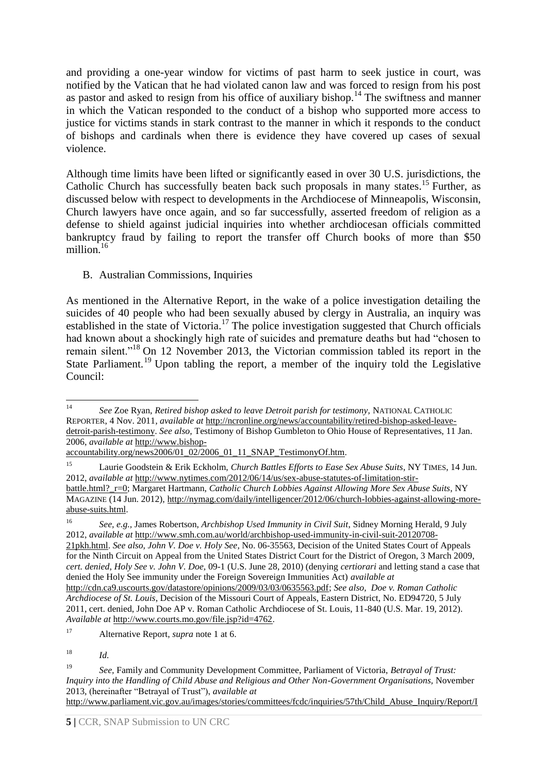and providing a one-year window for victims of past harm to seek justice in court, was notified by the Vatican that he had violated canon law and was forced to resign from his post as pastor and asked to resign from his office of auxiliary bishop.<sup>14</sup> The swiftness and manner in which the Vatican responded to the conduct of a bishop who supported more access to justice for victims stands in stark contrast to the manner in which it responds to the conduct of bishops and cardinals when there is evidence they have covered up cases of sexual violence.

Although time limits have been lifted or significantly eased in over 30 U.S. jurisdictions, the Catholic Church has successfully beaten back such proposals in many states.<sup>15</sup> Further, as discussed below with respect to developments in the Archdiocese of Minneapolis, Wisconsin, Church lawyers have once again, and so far successfully, asserted freedom of religion as a defense to shield against judicial inquiries into whether archdiocesan officials committed bankruptcy fraud by failing to report the transfer off Church books of more than \$50 million.<sup>16</sup>

# B. Australian Commissions, Inquiries

As mentioned in the Alternative Report, in the wake of a police investigation detailing the suicides of 40 people who had been sexually abused by clergy in Australia, an inquiry was established in the state of Victoria.<sup>17</sup> The police investigation suggested that Church officials had known about a shockingly high rate of suicides and premature deaths but had "chosen to remain silent."<sup>18</sup> On 12 November 2013, the Victorian commission tabled its report in the State Parliament.<sup>19</sup> Upon tabling the report, a member of the inquiry told the Legislative Council:

 $14$ <sup>14</sup> *See* Zoe Ryan, *Retired bishop asked to leave Detroit parish for testimony,* NATIONAL CATHOLIC REPORTER, 4 Nov. 2011*, available at* [http://ncronline.org/news/accountability/retired-bishop-asked-leave](http://ncronline.org/news/accountability/retired-bishop-asked-leave-detroit-parish-testimony)[detroit-parish-testimony.](http://ncronline.org/news/accountability/retired-bishop-asked-leave-detroit-parish-testimony) *See also,* Testimony of Bishop Gumbleton to Ohio House of Representatives, 11 Jan. 2006, *available at* [http://www.bishop-](http://www.bishop-accountability.org/news2006/01_02/2006_01_11_SNAP_TestimonyOf.htm)

accountability.org/news2006/01\_02/2006\_01\_11\_SNAP\_TestimonyOf.htm.

<sup>15</sup> Laurie Goodstein & Erik Eckholm, *Church Battles Efforts to Ease Sex Abuse Suits*, NY TIMES, 14 Jun. 2012, *available at* [http://www.nytimes.com/2012/06/14/us/sex-abuse-statutes-of-limitation-stir](http://www.nytimes.com/2012/06/14/us/sex-abuse-statutes-of-limitation-stir-battle.html?_r=0)[battle.html?\\_r=0;](http://www.nytimes.com/2012/06/14/us/sex-abuse-statutes-of-limitation-stir-battle.html?_r=0) Margaret Hartmann, *Catholic Church Lobbies Against Allowing More Sex Abuse Suits*, NY MAGAZINE (14 Jun. 2012), [http://nymag.com/daily/intelligencer/2012/06/church-lobbies-against-allowing-more](http://nymag.com/daily/intelligencer/2012/06/church-lobbies-against-allowing-more-abuse-suits.html)[abuse-suits.html.](http://nymag.com/daily/intelligencer/2012/06/church-lobbies-against-allowing-more-abuse-suits.html)

<sup>16</sup> *See, e.g.,* James Robertson, *Archbishop Used Immunity in Civil Suit*, Sidney Morning Herald, 9 July 2012, *available at* [http://www.smh.com.au/world/archbishop-used-immunity-in-civil-suit-20120708-](http://www.smh.com.au/world/archbishop-used-immunity-in-civil-suit-20120708-21pkh.html) [21pkh.html.](http://www.smh.com.au/world/archbishop-used-immunity-in-civil-suit-20120708-21pkh.html) *See also, John V. Doe v. Holy See*, No. 06-35563, Decision of the United States Court of Appeals for the Ninth Circuit on Appeal from the United States District Court for the District of Oregon, 3 March 2009, *cert. denied*, *Holy See v. John V. Doe,* 09-1 (U.S. June 28, 2010) (denying *certiorari* and letting stand a case that denied the Holy See immunity under the Foreign Sovereign Immunities Act) *available at*

[http://cdn.ca9.uscourts.gov/datastore/opinions/2009/03/03/0635563.pdf;](http://cdn.ca9.uscourts.gov/datastore/opinions/2009/03/03/0635563.pdf) *See also, Doe v. Roman Catholic Archdiocese of St. Louis*, Decision of the Missouri Court of Appeals, Eastern District, No. ED94720, 5 July 2011, cert. denied, John Doe AP v. Roman Catholic Archdiocese of St. Louis, 11-840 (U.S. Mar. 19, 2012). *Available at* [http://www.courts.mo.gov/file.jsp?id=4762.](http://www.courts.mo.gov/file.jsp?id=4762)

<sup>17</sup> Alternative Report, *supra* note 1 at 6.

<sup>18</sup> *Id.*

<sup>19</sup> *See,* Family and Community Development Committee, Parliament of Victoria, *Betrayal of Trust: Inquiry into the Handling of Child Abuse and Religious and Other Non-Government Organisations,* November 2013, (hereinafter "Betrayal of Trust"), *available at*

[http://www.parliament.vic.gov.au/images/stories/committees/fcdc/inquiries/57th/Child\\_Abuse\\_Inquiry/Report/I](http://www.parliament.vic.gov.au/images/stories/committees/fcdc/inquiries/57th/Child_Abuse_Inquiry/Report/Inquiry_into_Handling_of_Abuse_Volume_1_FINAL_web.pdf)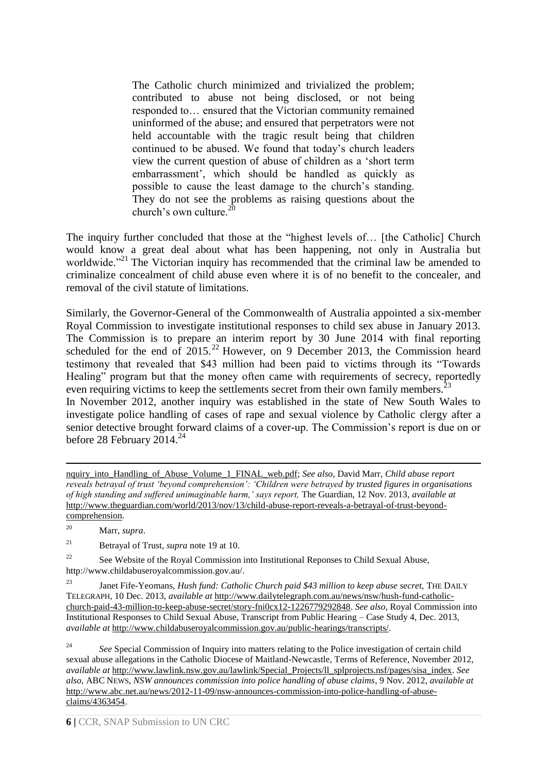The Catholic church minimized and trivialized the problem; contributed to abuse not being disclosed, or not being responded to… ensured that the Victorian community remained uninformed of the abuse; and ensured that perpetrators were not held accountable with the tragic result being that children continued to be abused. We found that today's church leaders view the current question of abuse of children as a 'short term embarrassment', which should be handled as quickly as possible to cause the least damage to the church's standing. They do not see the problems as raising questions about the church's own culture.<sup>20</sup>

The inquiry further concluded that those at the "highest levels of… [the Catholic] Church would know a great deal about what has been happening, not only in Australia but worldwide."<sup>21</sup> The Victorian inquiry has recommended that the criminal law be amended to criminalize concealment of child abuse even where it is of no benefit to the concealer, and removal of the civil statute of limitations.

Similarly, the Governor-General of the Commonwealth of Australia appointed a six-member Royal Commission to investigate institutional responses to child sex abuse in January 2013. The Commission is to prepare an interim report by 30 June 2014 with final reporting scheduled for the end of 2015.<sup>22</sup> However, on 9 December 2013, the Commission heard testimony that revealed that \$43 million had been paid to victims through its "Towards Healing" program but that the money often came with requirements of secrecy, reportedly even requiring victims to keep the settlements secret from their own family members.<sup>23</sup> In November 2012, another inquiry was established in the state of New South Wales to investigate police handling of cases of rape and sexual violence by Catholic clergy after a senior detective brought forward claims of a cover-up. The Commission's report is due on or before 28 February  $2014.<sup>24</sup>$ 

<sup>20</sup> Marr, *supra*.

1

<sup>21</sup> Betrayal of Trust*, supra* note 19 at 10.

<sup>22</sup> See Website of the Royal Commission into Institutional Reponses to Child Sexual Abuse, [http://www.childabuseroyalcommission.gov.au/.](http://www.childabuseroyalcommission.gov.au/)

<sup>23</sup> Janet Fife-Yeomans, *Hush fund: Catholic Church paid \$43 million to keep abuse secret,* THE DAILY TELEGRAPH, 10 Dec. 2013, *available at* [http://www.dailytelegraph.com.au/news/nsw/hush-fund-catholic](http://www.dailytelegraph.com.au/news/nsw/hush-fund-catholic-church-paid-43-million-to-keep-abuse-secret/story-fni0cx12-1226779292848)[church-paid-43-million-to-keep-abuse-secret/story-fni0cx12-1226779292848.](http://www.dailytelegraph.com.au/news/nsw/hush-fund-catholic-church-paid-43-million-to-keep-abuse-secret/story-fni0cx12-1226779292848) *See also*, Royal Commission into Institutional Responses to Child Sexual Abuse, Transcript from Public Hearing – Case Study 4, Dec. 2013, *available at* [http://www.childabuseroyalcommission.gov.au/public-hearings/transcripts/.](http://www.childabuseroyalcommission.gov.au/public-hearings/transcripts/)

<sup>24</sup> See Special Commission of Inquiry into matters relating to the Police investigation of certain child sexual abuse allegations in the Catholic Diocese of Maitland-Newcastle, Terms of Reference, November 2012, *available at* [http://www.lawlink.nsw.gov.au/lawlink/Special\\_Projects/ll\\_splprojects.nsf/pages/sisa\\_index.](http://www.lawlink.nsw.gov.au/lawlink/Special_Projects/ll_splprojects.nsf/pages/sisa_index) *See also*, ABC NEWS, *NSW announces commission into police handling of abuse claims*, 9 Nov. 2012, *available at* [http://www.abc.net.au/news/2012-11-09/nsw-announces-commission-into-police-handling-of-abuse](http://www.abc.net.au/news/2012-11-09/nsw-announces-commission-into-police-handling-of-abuse-claims/4363454)[claims/4363454.](http://www.abc.net.au/news/2012-11-09/nsw-announces-commission-into-police-handling-of-abuse-claims/4363454)

[nquiry\\_into\\_Handling\\_of\\_Abuse\\_Volume\\_1\\_FINAL\\_web.pdf;](http://www.parliament.vic.gov.au/images/stories/committees/fcdc/inquiries/57th/Child_Abuse_Inquiry/Report/Inquiry_into_Handling_of_Abuse_Volume_1_FINAL_web.pdf) *See also,* David Marr, *Child abuse report reveals betrayal of trust 'beyond comprehension': 'Children were betrayed by trusted figures in organisations of high standing and suffered unimaginable harm,' says report,* The Guardian, 12 Nov. 2013, *available at*  [http://www.theguardian.com/world/2013/nov/13/child-abuse-report-reveals-a-betrayal-of-trust-beyond](http://www.theguardian.com/world/2013/nov/13/child-abuse-report-reveals-a-betrayal-of-trust-beyond-comprehension)[comprehension.](http://www.theguardian.com/world/2013/nov/13/child-abuse-report-reveals-a-betrayal-of-trust-beyond-comprehension)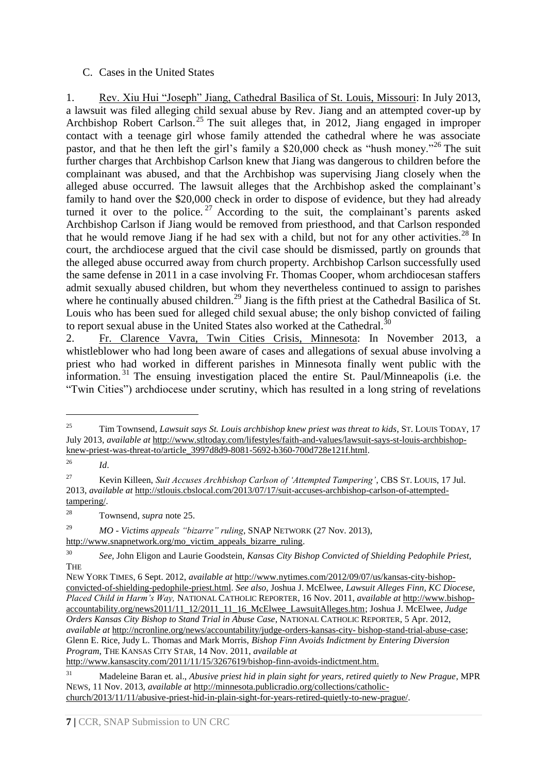## C. Cases in the United States

1. Rev. Xiu Hui "Joseph" Jiang, Cathedral Basilica of St. Louis, Missouri: In July 2013, a lawsuit was filed alleging child sexual abuse by Rev. Jiang and an attempted cover-up by Archbishop Robert Carlson. <sup>25</sup> The suit alleges that, in 2012, Jiang engaged in improper contact with a teenage girl whose family attended the cathedral where he was associate pastor, and that he then left the girl's family a \$20,000 check as "hush money."<sup>26</sup> The suit further charges that Archbishop Carlson knew that Jiang was dangerous to children before the complainant was abused, and that the Archbishop was supervising Jiang closely when the alleged abuse occurred. The lawsuit alleges that the Archbishop asked the complainant's family to hand over the \$20,000 check in order to dispose of evidence, but they had already turned it over to the police.<sup>27</sup> According to the suit, the complainant's parents asked Archbishop Carlson if Jiang would be removed from priesthood, and that Carlson responded that he would remove Jiang if he had sex with a child, but not for any other activities.<sup>28</sup> In court, the archdiocese argued that the civil case should be dismissed, partly on grounds that the alleged abuse occurred away from church property. Archbishop Carlson successfully used the same defense in 2011 in a case involving Fr. Thomas Cooper, whom archdiocesan staffers admit sexually abused children, but whom they nevertheless continued to assign to parishes where he continually abused children.<sup>29</sup> Jiang is the fifth priest at the Cathedral Basilica of St. Louis who has been sued for alleged child sexual abuse; the only bishop convicted of failing to report sexual abuse in the United States also worked at the Cathedral.<sup>3</sup>

2. Fr. Clarence Vavra, Twin Cities Crisis, Minnesota: In November 2013, a whistleblower who had long been aware of cases and allegations of sexual abuse involving a priest who had worked in different parishes in Minnesota finally went public with the information. <sup>31</sup> The ensuing investigation placed the entire St. Paul/Minneapolis (i.e. the "Twin Cities") archdiocese under scrutiny, which has resulted in a long string of revelations

<sup>26</sup> *Id*.

1

<sup>28</sup> Townsend, *supra* note 25.

<sup>29</sup> *MO - Victims appeals "bizarre" ruling*, SNAP NETWORK (27 Nov. 2013), [http://www.snapnetwork.org/mo\\_victim\\_appeals\\_bizarre\\_ruling.](http://www.snapnetwork.org/mo_victim_appeals_bizarre_ruling)

<sup>&</sup>lt;sup>25</sup> Tim Townsend, *Lawsuit says St. Louis archbishop knew priest was threat to kids*, ST. LOUIS TODAY, 17 July 2013, *available at* [http://www.stltoday.com/lifestyles/faith-and-values/lawsuit-says-st-louis-archbishop](http://www.stltoday.com/lifestyles/faith-and-values/lawsuit-says-st-louis-archbishop-knew-priest-was-threat-to/article_3997d8d9-8081-5692-b360-700d728e121f.html)[knew-priest-was-threat-to/article\\_3997d8d9-8081-5692-b360-700d728e121f.html.](http://www.stltoday.com/lifestyles/faith-and-values/lawsuit-says-st-louis-archbishop-knew-priest-was-threat-to/article_3997d8d9-8081-5692-b360-700d728e121f.html)

<sup>27</sup> Kevin Killeen, *Suit Accuses Archbishop Carlson of 'Attempted Tampering'*, CBS ST. LOUIS, 17 Jul. 2013, *available at* [http://stlouis.cbslocal.com/2013/07/17/suit-accuses-archbishop-carlson-of-attempted](http://stlouis.cbslocal.com/2013/07/17/suit-accuses-archbishop-carlson-of-attempted-tampering/)[tampering/.](http://stlouis.cbslocal.com/2013/07/17/suit-accuses-archbishop-carlson-of-attempted-tampering/) 

<sup>30</sup> *See,* John Eligon and Laurie Goodstein, *Kansas City Bishop Convicted of Shielding Pedophile Priest,* **THE** 

NEW YORK TIMES, 6 Sept. 2012, *available at* [http://www.nytimes.com/2012/09/07/us/kansas-city-bishop](http://www.nytimes.com/2012/09/07/us/kansas-city-bishop-convicted-of-shielding-pedophile-priest.html)[convicted-of-shielding-pedophile-priest.html.](http://www.nytimes.com/2012/09/07/us/kansas-city-bishop-convicted-of-shielding-pedophile-priest.html) *See also,* Joshua J. McElwee, *Lawsuit Alleges Finn, KC Diocese, Placed Child in Harm's Way,* NATIONAL CATHOLIC REPORTER, 16 Nov. 2011, *available at* [http://www.bishop](http://www.bishop-accountability.org/news2011/11_12/2011_11_16_McElwee_LawsuitAlleges.htm)[accountability.org/news2011/11\\_12/2011\\_11\\_16\\_McElwee\\_LawsuitAlleges.htm;](http://www.bishop-accountability.org/news2011/11_12/2011_11_16_McElwee_LawsuitAlleges.htm) Joshua J. McElwee, *Judge Orders Kansas City Bishop to Stand Trial in Abuse Case*, NATIONAL CATHOLIC REPORTER, 5 Apr. 2012, *available at* [http://ncronline.org/news/accountability/judge-orders-kansas-city-](http://ncronline.org/news/accountability/judge-orders-kansas-city-%20bishop-stand-trial-abuse-case) bishop-stand-trial-abuse-case; Glenn E. Rice, Judy L. Thomas and Mark Morris, *Bishop Finn Avoids Indictment by Entering Diversion Program*, THE KANSAS CITY STAR, 14 Nov. 2011, *available at*

[http://www.kansascity.com/2011/11/15/3267619/bishop-finn-avoids-indictment.htm.](http://www.kansascity.com/2011/11/15/3267619/bishop-finn-avoids-indictment.htm)

<sup>31</sup> Madeleine Baran et. al., *Abusive priest hid in plain sight for years, retired quietly to New Prague*, MPR NEWS, 11 Nov. 2013, *available at* [http://minnesota.publicradio.org/collections/catholic](http://minnesota.publicradio.org/collections/catholic-church/2013/11/11/abusive-priest-hid-in-plain-sight-for-years-retired-quietly-to-new-prague/)[church/2013/11/11/abusive-priest-hid-in-plain-sight-for-years-retired-quietly-to-new-prague/.](http://minnesota.publicradio.org/collections/catholic-church/2013/11/11/abusive-priest-hid-in-plain-sight-for-years-retired-quietly-to-new-prague/)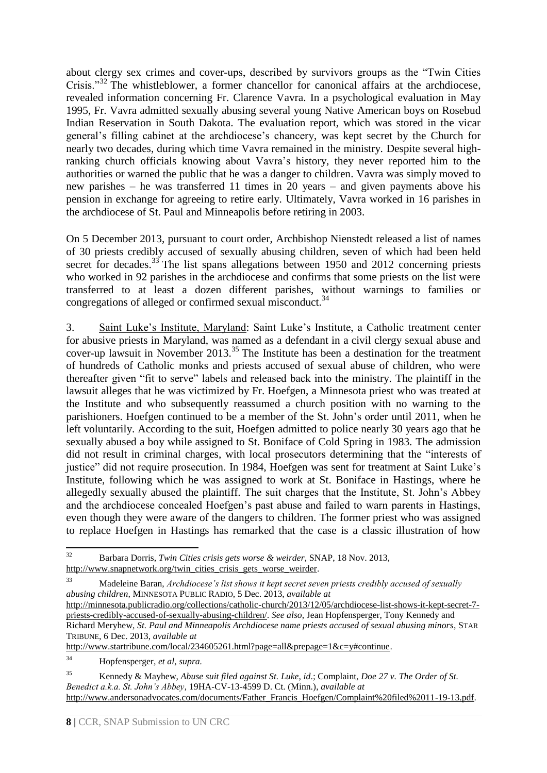about clergy sex crimes and cover-ups, described by survivors groups as the "Twin Cities Crisis."<sup>32</sup> The whistleblower, a former chancellor for canonical affairs at the archdiocese, revealed information concerning Fr. Clarence Vavra. In a psychological evaluation in May 1995, Fr. Vavra admitted sexually abusing several young Native American boys on Rosebud Indian Reservation in South Dakota. The evaluation report, which was stored in the vicar general's filling cabinet at the archdiocese's chancery, was kept secret by the Church for nearly two decades, during which time Vavra remained in the ministry. Despite several highranking church officials knowing about Vavra's history, they never reported him to the authorities or warned the public that he was a danger to children. Vavra was simply moved to new parishes – he was transferred 11 times in 20 years – and given payments above his pension in exchange for agreeing to retire early. Ultimately, Vavra worked in 16 parishes in the archdiocese of St. Paul and Minneapolis before retiring in 2003.

On 5 December 2013, pursuant to court order, Archbishop Nienstedt released a list of names of 30 priests credibly accused of sexually abusing children, seven of which had been held secret for decades.<sup>33</sup> The list spans allegations between 1950 and 2012 concerning priests who worked in 92 parishes in the archdiocese and confirms that some priests on the list were transferred to at least a dozen different parishes, without warnings to families or congregations of alleged or confirmed sexual misconduct.<sup>34</sup>

3. Saint Luke's Institute, Maryland: Saint Luke's Institute, a Catholic treatment center for abusive priests in Maryland, was named as a defendant in a civil clergy sexual abuse and cover-up lawsuit in November 2013.<sup>35</sup> The Institute has been a destination for the treatment of hundreds of Catholic monks and priests accused of sexual abuse of children, who were thereafter given "fit to serve" labels and released back into the ministry. The plaintiff in the lawsuit alleges that he was victimized by Fr. Hoefgen, a Minnesota priest who was treated at the Institute and who subsequently reassumed a church position with no warning to the parishioners. Hoefgen continued to be a member of the St. John's order until 2011, when he left voluntarily. According to the suit, Hoefgen admitted to police nearly 30 years ago that he sexually abused a boy while assigned to St. Boniface of Cold Spring in 1983. The admission did not result in criminal charges, with local prosecutors determining that the "interests of justice" did not require prosecution. In 1984, Hoefgen was sent for treatment at Saint Luke's Institute, following which he was assigned to work at St. Boniface in Hastings, where he allegedly sexually abused the plaintiff. The suit charges that the Institute, St. John's Abbey and the archdiocese concealed Hoefgen's past abuse and failed to warn parents in Hastings, even though they were aware of the dangers to children. The former priest who was assigned to replace Hoefgen in Hastings has remarked that the case is a classic illustration of how

[http://www.startribune.com/local/234605261.html?page=all&prepage=1&c=y#continue.](http://www.startribune.com/local/234605261.html?page=all&prepage=1&c=y#continue)

 $32$ <sup>32</sup> Barbara Dorris, *Twin Cities crisis gets worse & weirder*, SNAP, 18 Nov. 2013, [http://www.snapnetwork.org/twin\\_cities\\_crisis\\_gets\\_worse\\_weirder.](http://www.snapnetwork.org/twin_cities_crisis_gets_worse_weirder)

<sup>33</sup> Madeleine Baran, *Archdiocese's list shows it kept secret seven priests credibly accused of sexually abusing children,* MINNESOTA PUBLIC RADIO, 5 Dec. 2013, *available at*

[http://minnesota.publicradio.org/collections/catholic-church/2013/12/05/archdiocese-list-shows-it-kept-secret-7](http://minnesota.publicradio.org/collections/catholic-church/2013/12/05/archdiocese-list-shows-it-kept-secret-7-priests-credibly-accused-of-sexually-abusing-children/) [priests-credibly-accused-of-sexually-abusing-children/.](http://minnesota.publicradio.org/collections/catholic-church/2013/12/05/archdiocese-list-shows-it-kept-secret-7-priests-credibly-accused-of-sexually-abusing-children/) *See also*, Jean Hopfensperger, Tony Kennedy and Richard Meryhew, *St. Paul and Minneapolis Archdiocese name priests accused of sexual abusing minors*, STAR TRIBUNE, 6 Dec. 2013, *available at*

<sup>34</sup> Hopfensperger*, et al*, *supra.* 

<sup>35</sup> Kennedy & Mayhew, *Abuse suit filed against St. Luke*, *id*.; Complaint, *Doe 27 v. The Order of St. Benedict a.k.a. St. John's Abbey*, 19HA-CV-13-4599 D. Ct. (Minn.), *available at* [http://www.andersonadvocates.com/documents/Father\\_Francis\\_Hoefgen/Complaint%20filed%2011-19-13.pdf.](http://www.andersonadvocates.com/documents/Father_Francis_Hoefgen/Complaint%20filed%2011-19-13.pdf)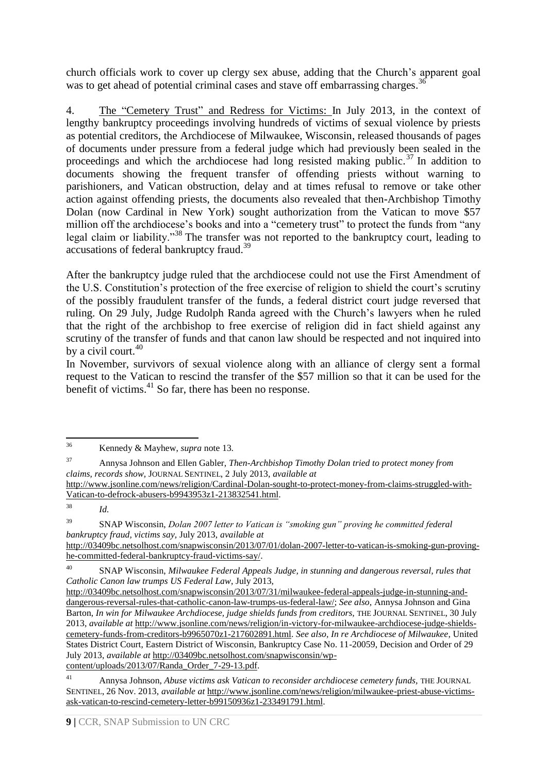church officials work to cover up clergy sex abuse, adding that the Church's apparent goal was to get ahead of potential criminal cases and stave off embarrassing charges.<sup>36</sup>

4. The "Cemetery Trust" and Redress for Victims: In July 2013, in the context of lengthy bankruptcy proceedings involving hundreds of victims of sexual violence by priests as potential creditors, the Archdiocese of Milwaukee, Wisconsin, released thousands of pages of documents under pressure from a federal judge which had previously been sealed in the proceedings and which the archdiocese had long resisted making public.<sup>37</sup> In addition to documents showing the frequent transfer of offending priests without warning to parishioners, and Vatican obstruction, delay and at times refusal to remove or take other action against offending priests, the documents also revealed that then-Archbishop Timothy Dolan (now Cardinal in New York) sought authorization from the Vatican to move \$57 million off the archdiocese's books and into a "cemetery trust" to protect the funds from "any legal claim or liability."<sup>38</sup> The transfer was not reported to the bankruptcy court, leading to accusations of federal bankruptcy fraud.<sup>39</sup>

After the bankruptcy judge ruled that the archdiocese could not use the First Amendment of the U.S. Constitution's protection of the free exercise of religion to shield the court's scrutiny of the possibly fraudulent transfer of the funds, a federal district court judge reversed that ruling. On 29 July, Judge Rudolph Randa agreed with the Church's lawyers when he ruled that the right of the archbishop to free exercise of religion did in fact shield against any scrutiny of the transfer of funds and that canon law should be respected and not inquired into by a civil court. $40$ 

In November, survivors of sexual violence along with an alliance of clergy sent a formal request to the Vatican to rescind the transfer of the \$57 million so that it can be used for the benefit of victims. <sup>41</sup> So far, there has been no response.

<sup>39</sup> SNAP Wisconsin, *Dolan 2007 letter to Vatican is "smoking gun" proving he committed federal bankruptcy fraud, victims say,* July 2013, *available at* [http://03409bc.netsolhost.com/snapwisconsin/2013/07/01/dolan-2007-letter-to-vatican-is-smoking-gun-proving](http://03409bc.netsolhost.com/snapwisconsin/2013/07/01/dolan-2007-letter-to-vatican-is-smoking-gun-proving-he-committed-federal-bankruptcy-fraud-victims-say/)[he-committed-federal-bankruptcy-fraud-victims-say/.](http://03409bc.netsolhost.com/snapwisconsin/2013/07/01/dolan-2007-letter-to-vatican-is-smoking-gun-proving-he-committed-federal-bankruptcy-fraud-victims-say/)

<sup>36</sup> <sup>36</sup> Kennedy & Mayhew, *supra* note 13*.*

<sup>37</sup> Annysa Johnson and Ellen Gabler, *Then-Archbishop Timothy Dolan tried to protect money from claims, records show,* JOURNAL SENTINEL, 2 July 2013, *available at*

[http://www.jsonline.com/news/religion/Cardinal-Dolan-sought-to-protect-money-from-claims-struggled-with-](http://www.jsonline.com/news/religion/Cardinal-Dolan-sought-to-protect-money-from-claims-struggled-with-Vatican-to-defrock-abusers-b9943953z1-213832541.html)[Vatican-to-defrock-abusers-b9943953z1-213832541.html.](http://www.jsonline.com/news/religion/Cardinal-Dolan-sought-to-protect-money-from-claims-struggled-with-Vatican-to-defrock-abusers-b9943953z1-213832541.html) 

<sup>38</sup> *Id.*

<sup>40</sup> SNAP Wisconsin, *Milwaukee Federal Appeals Judge, in stunning and dangerous reversal, rules that Catholic Canon law trumps US Federal Law*, July 2013,

[http://03409bc.netsolhost.com/snapwisconsin/2013/07/31/milwaukee-federal-appeals-judge-in-stunning-and](http://03409bc.netsolhost.com/snapwisconsin/2013/07/31/milwaukee-federal-appeals-judge-in-stunning-and-dangerous-reversal-rules-that-catholic-canon-law-trumps-us-federal-law/)[dangerous-reversal-rules-that-catholic-canon-law-trumps-us-federal-law/;](http://03409bc.netsolhost.com/snapwisconsin/2013/07/31/milwaukee-federal-appeals-judge-in-stunning-and-dangerous-reversal-rules-that-catholic-canon-law-trumps-us-federal-law/) *See also,* Annysa Johnson and Gina Barton, *In win for Milwaukee Archdiocese, judge shields funds from creditors,* THE JOURNAL SENTINEL, 30 July 2013, *available at* [http://www.jsonline.com/news/religion/in-victory-for-milwaukee-archdiocese-judge-shields](http://www.jsonline.com/news/religion/in-victory-for-milwaukee-archdiocese-judge-shields-cemetery-funds-from-creditors-b9965070z1-217602891.html)[cemetery-funds-from-creditors-b9965070z1-217602891.html.](http://www.jsonline.com/news/religion/in-victory-for-milwaukee-archdiocese-judge-shields-cemetery-funds-from-creditors-b9965070z1-217602891.html) *See also, In re Archdiocese of Milwaukee*, United States District Court, Eastern District of Wisconsin, Bankruptcy Case No. 11-20059, Decision and Order of 29 July 2013, *available at* [http://03409bc.netsolhost.com/snapwisconsin/wp](http://03409bc.netsolhost.com/snapwisconsin/wp-content/uploads/2013/07/Randa_Order_7-29-13.pdf)[content/uploads/2013/07/Randa\\_Order\\_7-29-13.pdf.](http://03409bc.netsolhost.com/snapwisconsin/wp-content/uploads/2013/07/Randa_Order_7-29-13.pdf)

<sup>&</sup>lt;sup>41</sup> Annysa Johnson, *Abuse victims ask Vatican to reconsider archdiocese cemetery funds*, THE JOURNAL SENTINEL, 26 Nov. 2013, *available at* [http://www.jsonline.com/news/religion/milwaukee-priest-abuse-victims](http://www.jsonline.com/news/religion/milwaukee-priest-abuse-victims-ask-vatican-to-rescind-cemetery-letter-b99150936z1-233491791.html)[ask-vatican-to-rescind-cemetery-letter-b99150936z1-233491791.html.](http://www.jsonline.com/news/religion/milwaukee-priest-abuse-victims-ask-vatican-to-rescind-cemetery-letter-b99150936z1-233491791.html)